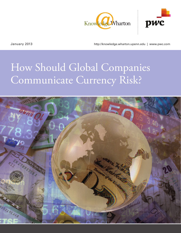



January 2013 http://knowledge.wharton.upenn.edu | www.pwc.com

# How Should Global Companies Communicate Currency Risk?

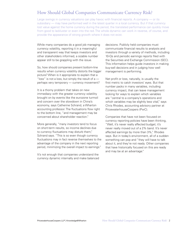# How Should Global Companies Communicate Currency Risk?

Large swings in currency valuations can play havoc with financial reports. A company — or its subsidiary — may have performed well in the latest quarter in a local currency. But if that currency lost value against the home currency during the period, the translated performance can quickly move from good to lackluster or even into the red. The whole dynamic can work in reverse, of course, and provide the appearance of strong growth where it does not exist.

While many companies do a good job managing currency volatility, reporting it in a meaningful and transparent way that keeps investors and other stakeholders informed, a sizable number appear still to be grappling with the issue.

So, how should companies present bottom-line results when currency volatility distorts the bigger picture? When is it appropriate to explain that a "loss" is not a loss, but simply the result of  $a$  perhaps very temporary — currency movement?

It is a thorny problem that takes on new immediacy with the greater currency volatility brought on by events like the eurozone turmoil and concern over the slowdown in China's economy, says Catherine Schrand, a Wharton accounting professor. The fluctuations flow right to the bottom line, "and management may be concerned about shareholder reaction."

More generally, "many investors tend to focus on short-term results, so income declines due to currency fluctuations may disturb them," Schrand says. "This is so even though currency fluctuations may in fact reverse themselves to the advantage of the company in the next reporting period, minimizing the overall impact to earnings."

It's not enough that companies understand the currency dynamic internally and make balanced decisions. Publicly held companies must communicate financial results to analysts and investors through a variety of methods, including 10-Qs and periodic earnings reports filed with the Securities and Exchange Commission (SEC). This information helps guide investors in making buy-sell decisions and in judging how well management is performing.

Net profit or loss, naturally, is usually the first metric to catch investors' eyes. But that number packs in many variables, including currency impact, that can leave management looking for ways to explain which variables are "central to a company's operations and which variables may be slightly less vital," says Chris Rhodes, accounting advisory partner at PricewaterhouseCoopers (PwC).

Companies that have not been focused on currency reporting policies have been thinking, "Well, it's never really affected budget; it's never really moved out of a 2% band. It's never affected earnings by more than 3%," Rhodes says. But in today's environment, all of a sudden something can pop and "they will have to talk about it, and they're not ready. Other companies that have historically focused on this are ready and may be at an advantage."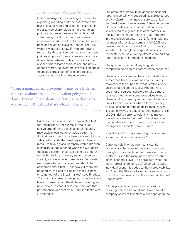## Does Currency Volatility Matter?

One of management's challenges in carefully explaining reporting profit or loss involves the basic issue of reporting sales, for example. In order to give shareholders a more complete picture about revenues reported in financial statements, the SEC sometimes prefers companies to address the distinction between price and quantity, explains Rhodes. The SEC wants investors to know if "you are moving more units through your company or if you are just raising prices." Similarly, retail chains may differentiate between sales from stores open a year or more (same-store sales), and newly opened stores, so investors can make an applesto-apples comparison of sales progress by factoring out data from the new stores.

"From a management viewpoint, I may be a little less concerned about the dollar equivalent going up or down. Instead, I care about the fact that performance was steady in Brazil and that's what I invested in."

—Chris Rhodes

Currency fluctuations offer a comparable test for transparency. For example, retail price and volume of units sold in a certain country may explain local currency sales better than fluctuations in the U.S. dollar-equivalent of those sales, which adds the variability of exchange rates. Or, take a global company with a Brazilian subsidiary during a period when the U.S. dollartranslated performance was going up or down wildly, but its local currency performance was steadily increasing over three years. "A question may arise whether management should be concerned about that — especially if there are no short-term plans to liquidate that business or to get out of the Brazil market," says Rhodes. "From a management viewpoint, I may be a little less concerned about the dollar equivalent going up or down. Instead, I care about the fact that performance was steady in Brazil and that's what I invested in."

The effect of currency fluctuations on financial reports is certainly widespread, as a 2010 survey by AvantGard — the financial services unit of SunGard Systems — indicates. Fifty-nine percent of study participants reported that currency volatility led to a gain or loss of at least 5% in the 12 months ended March 31, up from 40% in the previous survey. In 2012, for example, the revenues of one global company fell 0.7% one quarter due in part to a 4.2% drop in currency valuations. Other global corporations also cut forecasts because currency effects were hurting reported sales in international markets.

The question is, what, if anything, should companies be doing to address these concerns?

There is no easy answer because stakeholders sometimes find explanations about currency movements too subtle for what is often a very quick, targeted analysis, says Rhodes. And it does not encourage investors to take a more balanced view when some executives want to blame a falling currency for poor results but are quick to claim success when a local currency values rises and pumps up dollar results. What is clear, however, is that since the financial crisis of 2008, rising currency volatility has moved the whole issue to the forefront and intensified the debate over how currency risk should be managed and reported, says Rhodes.

Says Schrand: "Is this something management should be held accountable to?"

Currency volatility has been consistently higher since the financial crisis and continuing through to uncertainty in the Eurozone, Rhodes explains. Given the many uncertainties at the global economic level, "no one's sure what the 'new normal' is going to be." Uncertainty about individual economies adds to the unpredictability, and "now the Street is trying to parse currency risk out of the financials a little more than before" Rhodes says.

All this presents a thorny communications challenge for investor relations: How should a company speak to investors when separating the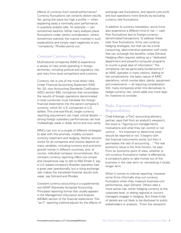effects of currency from overall performance? Currency fluctuations can certainly distort results. Yet, giving the issue too high a profile — when explaining away a nominally poor performance in quarterly analyst calls, for example — can sometimes backfire. While many analysts place fluctuations under careful consideration, others sometimes overlook the nuance involved in such explanations and simply react negatively to any "complexity," Rhodes points out.

## Constant Currency Reporting

Multinational companies (MNCs) experience a variety of risks while operating in foreign territories, including political and regulatory risk, and risks from local competitors and customs

Currency risk is one of the most direct risks. Under Financial Accounting Statement (FAS) No. 52, now Accounting Standards Codification (ASC) section 830, companies that consolidate the results of foreign operations denominated in local currencies must translate the foreign financial statements into the parent company's currency, which for U.S. companies is U.S. dollars. This one-size-fits-all, single currency reporting requirement can mask critical details strong foreign subsidiary performances can look misleadingly weak in dollar terms and vice versa.

MNCs can turn to a couple of different strategies to deal with this anomaly, notably constant currency treatment and hedging. Neither solution works for all companies and choices depend on many variables, including currency and economic growth trends in different countries, and, of course, individual company circumstances. But constant currency reporting offers one simple and inexpensive way to talk to Wall Street if, say, a U.S.-based company's Brazilian operation had a great year operationally, but a rising exchange rate makes the translated financial results look weak, say Schrand and Rhodes.

Constant currency accounting is a supplemental, non-GAAP (Generally Accepted Accounting Principles) reporting format that usually appears in the Management Discussion and Analysis (MD&A) section of the financial statements. This "as if" reporting method adjusts for the effects of exchange rate fluctuations, and reports core profit and loss operations more directly by excluding currency rate fluctuations.

In addition to currency translation, some firms also experience a different kind of risk — cash flow fluctuations due to foreign-currencydenominated transactions. To address these cash flow fluctuations, firms use currency hedging strategies, but that can be a timeconsuming, labor-intensive operation with costs that can outweigh the benefits, notes Schrand. Hedging often requires setting up a "dedicated department and powerful computer programs to crunch a great deal of information." The complexity can be particularly burdensome if an MNC operates in many nations. Adding to the complications: the basic nature of MNC operations, which involve labor, plants, equipment and investments — all requiring consideration. Still, many companies enter into derivatives to hedge currency risk, which adds one more layer for investors to consider.

# Risks, Exposures and Management Responsibilities

Chad Kokenge, a PwC accounting advisory partner, says that from an analyst's viewpoint, the issue is "figuring out management's motivations and what they can control or not control…. It's important to determine what should be reported or not. It begins with the financial instruments world, but then it permeates the rest of accounting…." The real economic issue is the time horizon, he says. From an economic point of view, whether or not currency fluctuations matter is affected by a company's plans to take money out of the business in the near term vs. reinvesting it locally longer term.

When it comes to internal reporting, however, some firms informally strip out currency fluctuation when they measure business-unit performance, says Schrand. Others take a more active role, either hedging currency at the corporate level, or letting regional or country managers engage in hedging. But these kinds of details are not likely to be disclosed to public stakeholders or analysts. "From the viewpoint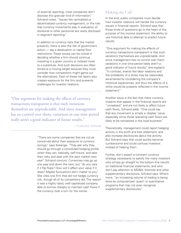of external reporting, most companies don't disclose this granular kind of information," Schrand notes. "Issues like centralized or decentralized currency management, or the role that currency movements play in evaluation of divisional or other personnel are rarely disclosed in segment reporting."

In addition to currency risks that the market presents, there is also the risk of government action — say a devaluation or capital flow restrictions. These issues can be critical in deciding whether a firm should continue investing in a given country or instead move to a substitute. And such decisions are often aimed at a moving target because they must consider how competitors might game out the alternatives. Each of these risk layers also creates exposure for the firm and presents challenges for investor relations.

"One argument for making the effects of currency transactions transparent is that such variations themselves are unpredictable. And since management has no control over them, variations in one time period really aren't a good indicator of future results."

—Catherine Schrand

"There are some companies that are not as concerned about their exposure to currency swings," says Kokenge. "They ask why they should go through a convoluted hedging profile when they can, basically, self-insure, and take their risks and deal with the spot market next year." Schrand concurs. Currencies may go up one year and down the next, but "do you care if it flip flops? How will it affect your value if it does? Maybe fluctuations don't matter to you." She cites one firm that did not hedge currency risk, though all of its competitors did. The reason: it was a highly rated, well capitalized company able to borrow cheaply to maintain cash flows if the currency took a turn for the worse.

# Making the Call

In the end, public companies must decide how investor relations will handle the currency issues in financial reports. Schrand says that those kinds of questions go to the heart of the purpose of the income statement: the ability to use historical data to attempt to predict future results.

"One argument for making the effects of currency transactions transparent is that such variations themselves are unpredictable. And since management has no control over them, variations in one time period really aren't a good indicator of future results," she explains. "In contrast, events like labor relations and the probability of a strike may be reasonably ascertained by considering the company's historical experiences, and thus the effects of a strike would be properly reflected in the income statement."

Another issue is the fact that many currency impacts that appear in the financial reports are "unrealized" and are not likely to affect future cash flows, Schrand adds. "One could say that any movement is simply a 'display' issue, especially since those operating cash flows are likely to be reinvested in the local business."

Theoretically, management could report hedging activity in the profit and loss statement, and also increase disclosures about the activity. But Schrand says that could quickly become cumbersome and could confuse investors instead of helping them.

Further, don't expect a constant currency strategy necessarily to satisfy the many investors who simply go straight to the bottom-line results on traditional financial statements, and who don't pay attention to MD&A, footnote and other supplementary disclosure, Schrand says. What's more, "an increasing volume of trading is being done by computerized 'quant' or quantitative programs that may not even recognize supplementary disclosures."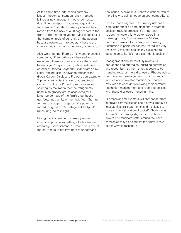At the same time, addressing currency issues through constant currency methods is increasingly important in other contexts. In due diligence reports that value acquisitions, for example, "constant currency analysis has moved from the back of a 50-page report to the front.… The first thing you're trying to do is take that complex topic of currency off the agenda because people want to get at, 'what are the core earnings or what is the quality of earnings?"

Also worth noting: From a strictly best-practices standpoint, "if something is disclosed and measured, there's a greater chance that it will be managed," says Schrand, who points to a *Journal of Applied Corporate Finance* article by Nigel Topping, chief innovation officer at the Global Carbon Disclosure Project as an example. Topping cites a giant retailer that credited a Carbon Disclosure Project questionnaire with spurring its realization that the refrigerants used in its grocery stores accounted for a larger percentage of the firm's greenhouse gas footprint than its entire truck fleet. Starting to measure output suggested the potential for reducing the firm's "refrigerant footprint." Measuring led to insight.

Paying more attention to currency issues could also provide something of a first-mover advantage, says Schrand. "If your firm is one of the early ones to get investors to understand

the issues involved in currency valuations, you're more likely to gain an edge on your competitors."

PwC's Rhodes agrees. "If currency risk has a significant effect on a multinational's strategic decision making process, it's important to communicate this to stakeholders in a meaningful way. You can use the MD&A to put many issues into context, but currency fluctuation in particular can be treated in a way that's very focused and clearly explained to stakeholders. But it's not a slam-dunk decision."

Management should carefully review its operations and strategies regarding currencies, and recognize that the market appears to be trending towards more disclosure, Rhodes points out. So even if management is not currently worried about investor reaction, companies may wish to consider reviewing their currencyfluctuation management and reporting policies with these disclosure trends in mind.

"Companies and investors will only benefit from improved communication about how currency risk impacts financial statements, and that leads to more efficient allocation of capital," Rhodes says. And as Schrand suggests, by thinking through how to communicate better around the issue, companies may also find that they may uncover better ways to manage. #